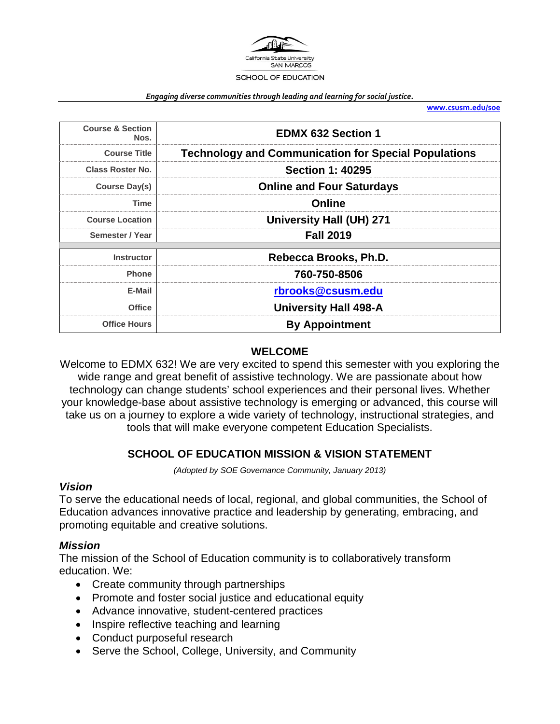

#### *Engaging diverse communities through leading and learning for social justice.*

**[www.csusm.edu/soe](http://www.csusm.edu/soe)**

| <b>Course &amp; Section</b><br>Nos. | <b>EDMX 632 Section 1</b>                                   |
|-------------------------------------|-------------------------------------------------------------|
| <b>Course Title</b>                 | <b>Technology and Communication for Special Populations</b> |
| <b>Class Roster No.</b>             | <b>Section 1: 40295</b>                                     |
| Course Day(s)                       | <b>Online and Four Saturdays</b>                            |
| Time                                | Online                                                      |
| <b>Course Location</b>              | University Hall (UH) 271                                    |
| Semester / Year                     | <b>Fall 2019</b>                                            |
| <b>Instructor</b>                   | Rebecca Brooks, Ph.D.                                       |
| <b>Phone</b>                        | 760-750-8506                                                |
| E-Mail                              | rbrooks@csusm.edu                                           |
| <b>Office</b>                       | <b>University Hall 498-A</b>                                |
| <b>Office Hours</b>                 | <b>By Appointment</b>                                       |

#### **WELCOME**

Welcome to EDMX 632! We are very excited to spend this semester with you exploring the wide range and great benefit of assistive technology. We are passionate about how technology can change students' school experiences and their personal lives. Whether your knowledge-base about assistive technology is emerging or advanced, this course will take us on a journey to explore a wide variety of technology, instructional strategies, and tools that will make everyone competent Education Specialists.

#### **SCHOOL OF EDUCATION MISSION & VISION STATEMENT**

*(Adopted by SOE Governance Community, January 2013)*

#### *Vision*

To serve the educational needs of local, regional, and global communities, the School of Education advances innovative practice and leadership by generating, embracing, and promoting equitable and creative solutions.

#### *Mission*

The mission of the School of Education community is to collaboratively transform education. We:

- Create community through partnerships
- Promote and foster social justice and educational equity
- Advance innovative, student-centered practices
- Inspire reflective teaching and learning
- Conduct purposeful research
- Serve the School, College, University, and Community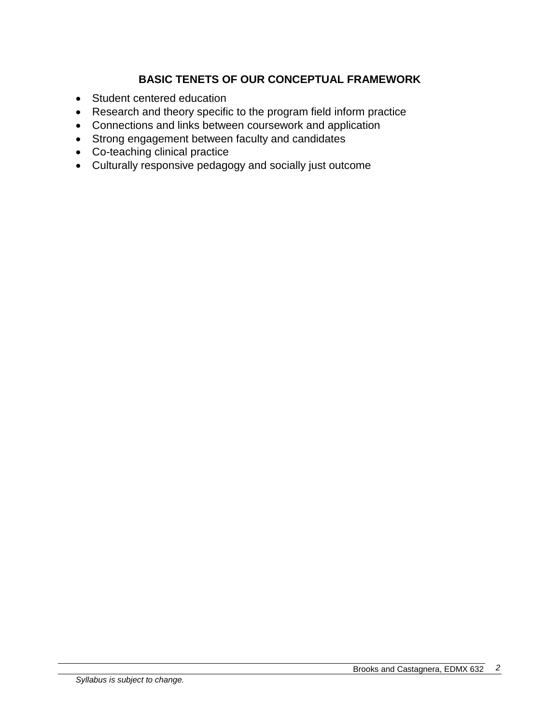# **BASIC TENETS OF OUR CONCEPTUAL FRAMEWORK**

- Student centered education
- Research and theory specific to the program field inform practice
- Connections and links between coursework and application
- Strong engagement between faculty and candidates
- Co-teaching clinical practice
- Culturally responsive pedagogy and socially just outcome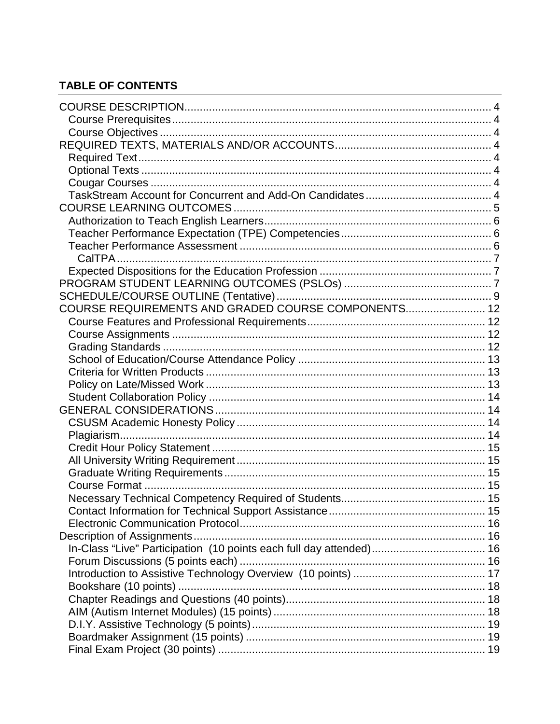# **TABLE OF CONTENTS**

| COURSE REQUIREMENTS AND GRADED COURSE COMPONENTS 12 |  |
|-----------------------------------------------------|--|
|                                                     |  |
|                                                     |  |
|                                                     |  |
|                                                     |  |
|                                                     |  |
|                                                     |  |
|                                                     |  |
|                                                     |  |
|                                                     |  |
|                                                     |  |
|                                                     |  |
|                                                     |  |
|                                                     |  |
|                                                     |  |
|                                                     |  |
|                                                     |  |
|                                                     |  |
|                                                     |  |
|                                                     |  |
|                                                     |  |
|                                                     |  |
|                                                     |  |
|                                                     |  |
|                                                     |  |
|                                                     |  |
|                                                     |  |
|                                                     |  |
|                                                     |  |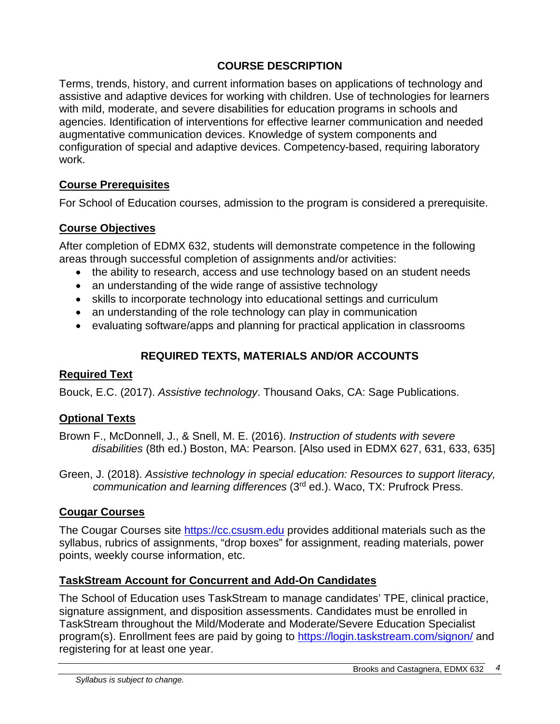### **COURSE DESCRIPTION**

Terms, trends, history, and current information bases on applications of technology and assistive and adaptive devices for working with children. Use of technologies for learners with mild, moderate, and severe disabilities for education programs in schools and agencies. Identification of interventions for effective learner communication and needed augmentative communication devices. Knowledge of system components and configuration of special and adaptive devices. Competency-based, requiring laboratory work.

### **Course Prerequisites**

For School of Education courses, admission to the program is considered a prerequisite.

### **Course Objectives**

After completion of EDMX 632, students will demonstrate competence in the following areas through successful completion of assignments and/or activities:

- the ability to research, access and use technology based on an student needs
- an understanding of the wide range of assistive technology
- skills to incorporate technology into educational settings and curriculum
- an understanding of the role technology can play in communication
- evaluating software/apps and planning for practical application in classrooms

# **REQUIRED TEXTS, MATERIALS AND/OR ACCOUNTS**

#### **Required Text**

Bouck, E.C. (2017). *Assistive technology*. Thousand Oaks, CA: Sage Publications.

### **Optional Texts**

Brown F., McDonnell, J., & Snell, M. E. (2016). *Instruction of students with severe disabilities* (8th ed.) Boston, MA: Pearson. [Also used in EDMX 627, 631, 633, 635]

Green, J. (2018). *Assistive technology in special education: Resources to support literacy, communication and learning differences* (3rd ed.). Waco, TX: Prufrock Press.

### **Cougar Courses**

The Cougar Courses site [https://cc.csusm.edu](https://cc.csusm.edu/) provides additional materials such as the syllabus, rubrics of assignments, "drop boxes" for assignment, reading materials, power points, weekly course information, etc.

### **TaskStream Account for Concurrent and Add-On Candidates**

The School of Education uses TaskStream to manage candidates' TPE, clinical practice, signature assignment, and disposition assessments. Candidates must be enrolled in TaskStream throughout the Mild/Moderate and Moderate/Severe Education Specialist program(s). Enrollment fees are paid by going to<https://login.taskstream.com/signon/> and registering for at least one year.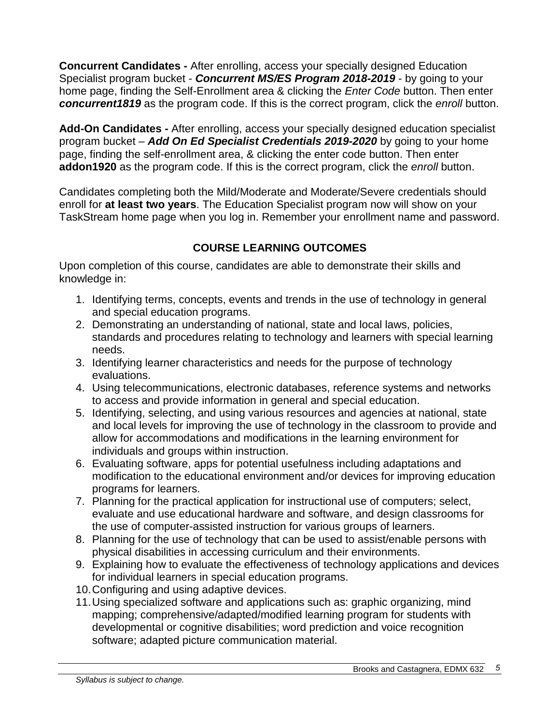**Concurrent Candidates -** After enrolling, access your specially designed Education Specialist program bucket - *Concurrent MS/ES Program 2018-2019* - by going to your home page, finding the Self-Enrollment area & clicking the *Enter Code* button. Then enter *concurrent1819* as the program code. If this is the correct program, click the *enroll* button.

**Add-On Candidates -** After enrolling, access your specially designed education specialist program bucket – *Add On Ed Specialist Credentials 2019-2020* by going to your home page, finding the self-enrollment area, & clicking the enter code button. Then enter **addon1920** as the program code. If this is the correct program, click the *enroll* button.

Candidates completing both the Mild/Moderate and Moderate/Severe credentials should enroll for **at least two years**. The Education Specialist program now will show on your TaskStream home page when you log in. Remember your enrollment name and password.

# **COURSE LEARNING OUTCOMES**

Upon completion of this course, candidates are able to demonstrate their skills and knowledge in:

- 1. Identifying terms, concepts, events and trends in the use of technology in general and special education programs.
- 2. Demonstrating an understanding of national, state and local laws, policies, standards and procedures relating to technology and learners with special learning needs.
- 3. Identifying learner characteristics and needs for the purpose of technology evaluations.
- 4. Using telecommunications, electronic databases, reference systems and networks to access and provide information in general and special education.
- 5. Identifying, selecting, and using various resources and agencies at national, state and local levels for improving the use of technology in the classroom to provide and allow for accommodations and modifications in the learning environment for individuals and groups within instruction.
- 6. Evaluating software, apps for potential usefulness including adaptations and modification to the educational environment and/or devices for improving education programs for learners.
- 7. Planning for the practical application for instructional use of computers; select, evaluate and use educational hardware and software, and design classrooms for the use of computer-assisted instruction for various groups of learners.
- 8. Planning for the use of technology that can be used to assist/enable persons with physical disabilities in accessing curriculum and their environments.
- 9. Explaining how to evaluate the effectiveness of technology applications and devices for individual learners in special education programs.
- 10.Configuring and using adaptive devices.
- 11.Using specialized software and applications such as: graphic organizing, mind mapping; comprehensive/adapted/modified learning program for students with developmental or cognitive disabilities; word prediction and voice recognition software; adapted picture communication material.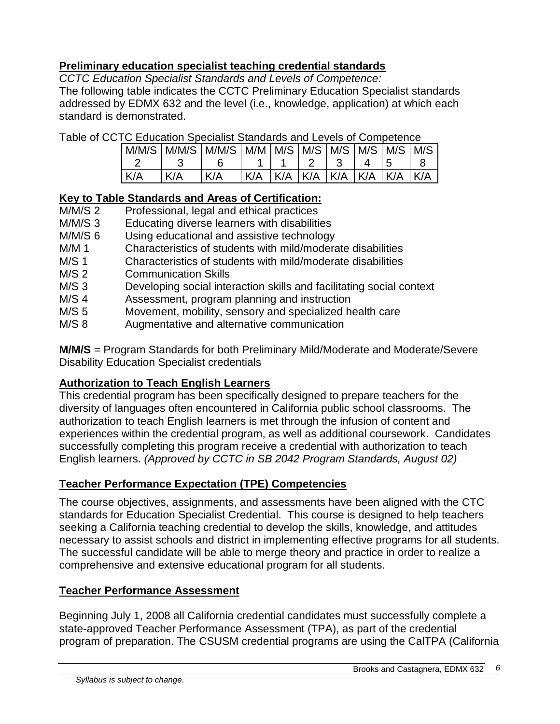### **Preliminary education specialist teaching credential standards**

*CCTC Education Specialist Standards and Levels of Competence:*

The following table indicates the CCTC Preliminary Education Specialist standards addressed by EDMX 632 and the level (i.e., knowledge, application) at which each standard is demonstrated.

Table of CCTC Education Specialist Standards and Levels of Competence

|            |     |     |                                         |  | 4 15 |  |
|------------|-----|-----|-----------------------------------------|--|------|--|
| <b>K/A</b> | K/A | K/A | K/A   K/A   K/A   K/A   K/A   K/A   K/A |  |      |  |

# **Key to Table Standards and Areas of Certification:**

- M/M/S 2 Professional, legal and ethical practices
- M/M/S 3 Educating diverse learners with disabilities
- M/M/S 6 Using educational and assistive technology
- M/M 1 Characteristics of students with mild/moderate disabilities
- M/S 1 Characteristics of students with mild/moderate disabilities
- M/S 2 Communication Skills
- M/S 3 Developing social interaction skills and facilitating social context<br>M/S 4 Assessment, program planning and instruction
- Assessment, program planning and instruction
- M/S 5 Movement, mobility, sensory and specialized health care
- M/S 8 Augmentative and alternative communication

**M/M/S** = Program Standards for both Preliminary Mild/Moderate and Moderate/Severe Disability Education Specialist credentials

### **Authorization to Teach English Learners**

This credential program has been specifically designed to prepare teachers for the diversity of languages often encountered in California public school classrooms. The authorization to teach English learners is met through the infusion of content and experiences within the credential program, as well as additional coursework. Candidates successfully completing this program receive a credential with authorization to teach English learners. *(Approved by CCTC in SB 2042 Program Standards, August 02)*

### **Teacher Performance Expectation (TPE) Competencies**

The course objectives, assignments, and assessments have been aligned with the CTC standards for Education Specialist Credential. This course is designed to help teachers seeking a California teaching credential to develop the skills, knowledge, and attitudes necessary to assist schools and district in implementing effective programs for all students. The successful candidate will be able to merge theory and practice in order to realize a comprehensive and extensive educational program for all students.

# **Teacher Performance Assessment**

Beginning July 1, 2008 all California credential candidates must successfully complete a state-approved Teacher Performance Assessment (TPA), as part of the credential program of preparation. The CSUSM credential programs are using the CalTPA (California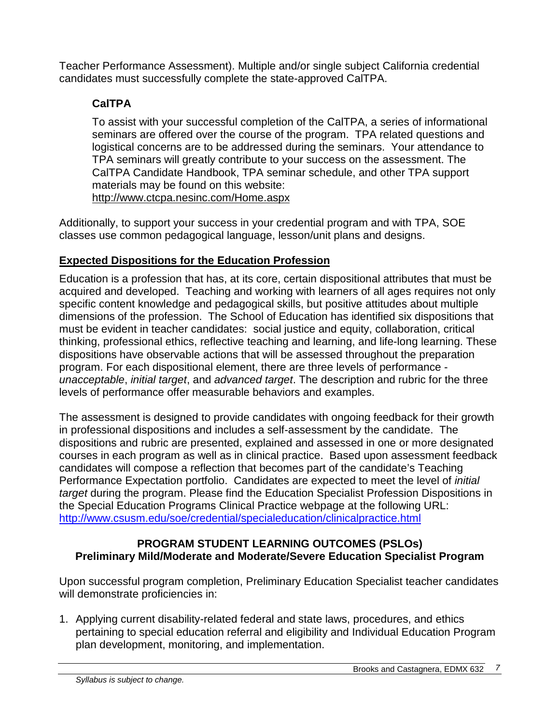Teacher Performance Assessment). Multiple and/or single subject California credential candidates must successfully complete the state-approved CalTPA.

# **CalTPA**

To assist with your successful completion of the CalTPA, a series of informational seminars are offered over the course of the program. TPA related questions and logistical concerns are to be addressed during the seminars. Your attendance to TPA seminars will greatly contribute to your success on the assessment. The CalTPA Candidate Handbook, TPA seminar schedule, and other TPA support materials may be found on this website: <http://www.ctcpa.nesinc.com/Home.aspx>

Additionally, to support your success in your credential program and with TPA, SOE classes use common pedagogical language, lesson/unit plans and designs.

# **Expected Dispositions for the Education Profession**

Education is a profession that has, at its core, certain dispositional attributes that must be acquired and developed. Teaching and working with learners of all ages requires not only specific content knowledge and pedagogical skills, but positive attitudes about multiple dimensions of the profession. The School of Education has identified six dispositions that must be evident in teacher candidates: social justice and equity, collaboration, critical thinking, professional ethics, reflective teaching and learning, and life-long learning. These dispositions have observable actions that will be assessed throughout the preparation program. For each dispositional element, there are three levels of performance *unacceptable*, *initial target*, and *advanced target*. The description and rubric for the three levels of performance offer measurable behaviors and examples.

The assessment is designed to provide candidates with ongoing feedback for their growth in professional dispositions and includes a self-assessment by the candidate. The dispositions and rubric are presented, explained and assessed in one or more designated courses in each program as well as in clinical practice. Based upon assessment feedback candidates will compose a reflection that becomes part of the candidate's Teaching Performance Expectation portfolio. Candidates are expected to meet the level of *initial target* during the program. Please find the Education Specialist Profession Dispositions in the Special Education Programs Clinical Practice webpage at the following URL: <http://www.csusm.edu/soe/credential/specialeducation/clinicalpractice.html>

#### **PROGRAM STUDENT LEARNING OUTCOMES (PSLOs) Preliminary Mild/Moderate and Moderate/Severe Education Specialist Program**

Upon successful program completion, Preliminary Education Specialist teacher candidates will demonstrate proficiencies in:

1. Applying current disability-related federal and state laws, procedures, and ethics pertaining to special education referral and eligibility and Individual Education Program plan development, monitoring, and implementation.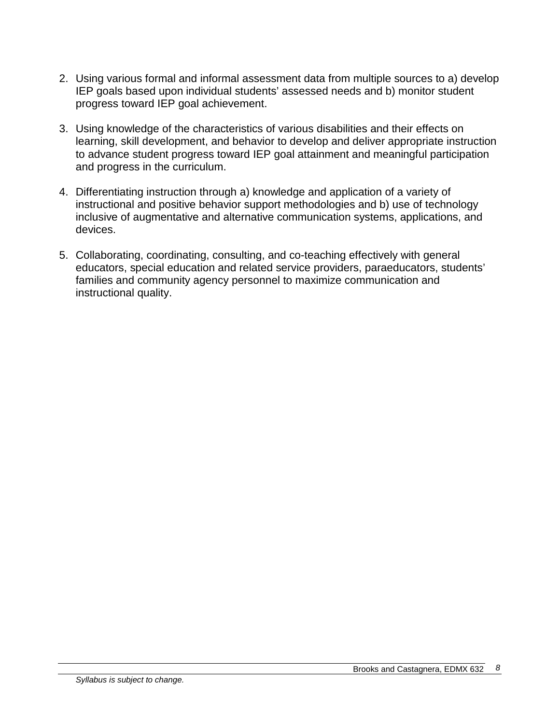- 2. Using various formal and informal assessment data from multiple sources to a) develop IEP goals based upon individual students' assessed needs and b) monitor student progress toward IEP goal achievement.
- 3. Using knowledge of the characteristics of various disabilities and their effects on learning, skill development, and behavior to develop and deliver appropriate instruction to advance student progress toward IEP goal attainment and meaningful participation and progress in the curriculum.
- 4. Differentiating instruction through a) knowledge and application of a variety of instructional and positive behavior support methodologies and b) use of technology inclusive of augmentative and alternative communication systems, applications, and devices.
- 5. Collaborating, coordinating, consulting, and co-teaching effectively with general educators, special education and related service providers, paraeducators, students' families and community agency personnel to maximize communication and instructional quality.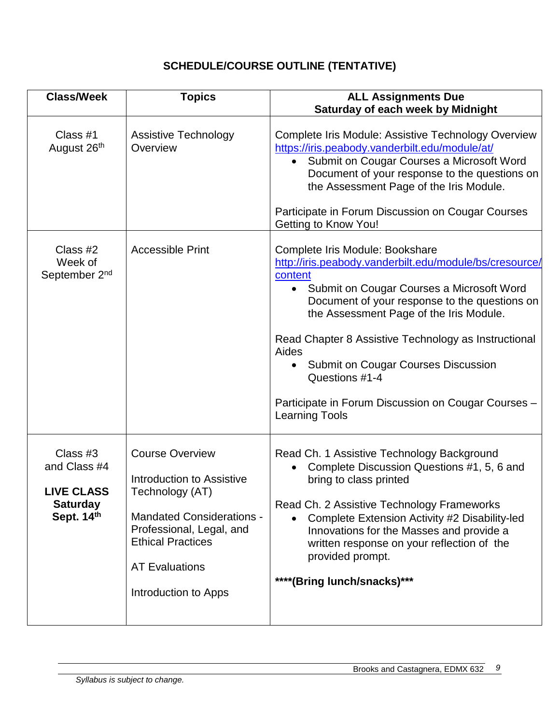# **SCHEDULE/COURSE OUTLINE (TENTATIVE)**

| <b>Class/Week</b>                                                              | <b>Topics</b>                                                                                                                                                                                                              | <b>ALL Assignments Due</b><br>Saturday of each week by Midnight                                                                                                                                                                                                                                                                                                                                                                                                                    |
|--------------------------------------------------------------------------------|----------------------------------------------------------------------------------------------------------------------------------------------------------------------------------------------------------------------------|------------------------------------------------------------------------------------------------------------------------------------------------------------------------------------------------------------------------------------------------------------------------------------------------------------------------------------------------------------------------------------------------------------------------------------------------------------------------------------|
| Class #1<br>August 26th                                                        | <b>Assistive Technology</b><br>Overview                                                                                                                                                                                    | Complete Iris Module: Assistive Technology Overview<br>https://iris.peabody.vanderbilt.edu/module/at/<br>Submit on Cougar Courses a Microsoft Word<br>$\bullet$<br>Document of your response to the questions on<br>the Assessment Page of the Iris Module.<br>Participate in Forum Discussion on Cougar Courses<br>Getting to Know You!                                                                                                                                           |
| Class #2<br>Week of<br>September 2 <sup>nd</sup>                               | <b>Accessible Print</b>                                                                                                                                                                                                    | Complete Iris Module: Bookshare<br>http://iris.peabody.vanderbilt.edu/module/bs/cresource/<br>content<br>Submit on Cougar Courses a Microsoft Word<br>$\bullet$<br>Document of your response to the questions on<br>the Assessment Page of the Iris Module.<br>Read Chapter 8 Assistive Technology as Instructional<br>Aides<br>Submit on Cougar Courses Discussion<br>$\bullet$<br>Questions #1-4<br>Participate in Forum Discussion on Cougar Courses -<br><b>Learning Tools</b> |
| Class #3<br>and Class #4<br><b>LIVE CLASS</b><br><b>Saturday</b><br>Sept. 14th | <b>Course Overview</b><br><b>Introduction to Assistive</b><br>Technology (AT)<br><b>Mandated Considerations -</b><br>Professional, Legal, and<br><b>Ethical Practices</b><br><b>AT Evaluations</b><br>Introduction to Apps | Read Ch. 1 Assistive Technology Background<br>Complete Discussion Questions #1, 5, 6 and<br>$\bullet$<br>bring to class printed<br>Read Ch. 2 Assistive Technology Frameworks<br>Complete Extension Activity #2 Disability-led<br>Innovations for the Masses and provide a<br>written response on your reflection of the<br>provided prompt.<br>****(Bring lunch/snacks)***                                                                                                        |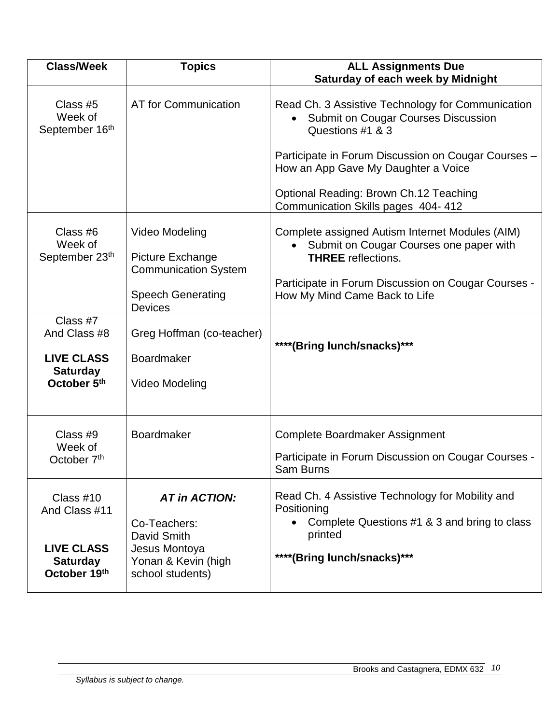| <b>Class/Week</b>                                                                  | <b>Topics</b>                                                                                                          | <b>ALL Assignments Due</b><br><b>Saturday of each week by Midnight</b>                                                                                                                                                                                                                            |
|------------------------------------------------------------------------------------|------------------------------------------------------------------------------------------------------------------------|---------------------------------------------------------------------------------------------------------------------------------------------------------------------------------------------------------------------------------------------------------------------------------------------------|
| Class #5<br>Week of<br>September 16th                                              | AT for Communication                                                                                                   | Read Ch. 3 Assistive Technology for Communication<br><b>Submit on Cougar Courses Discussion</b><br>Questions #1 & 3<br>Participate in Forum Discussion on Cougar Courses -<br>How an App Gave My Daughter a Voice<br>Optional Reading: Brown Ch.12 Teaching<br>Communication Skills pages 404-412 |
| Class #6<br>Week of<br>September 23th                                              | Video Modeling<br>Picture Exchange<br><b>Communication System</b><br><b>Speech Generating</b><br><b>Devices</b>        | Complete assigned Autism Internet Modules (AIM)<br>Submit on Cougar Courses one paper with<br><b>THREE</b> reflections.<br>Participate in Forum Discussion on Cougar Courses -<br>How My Mind Came Back to Life                                                                                   |
| Class #7<br>And Class #8<br><b>LIVE CLASS</b><br><b>Saturday</b><br>October 5th    | Greg Hoffman (co-teacher)<br><b>Boardmaker</b><br>Video Modeling                                                       | ****(Bring lunch/snacks)***                                                                                                                                                                                                                                                                       |
| Class #9<br>Week of<br>October 7 <sup>th</sup>                                     | <b>Boardmaker</b>                                                                                                      | Complete Boardmaker Assignment<br>Participate in Forum Discussion on Cougar Courses -<br>Sam Burns                                                                                                                                                                                                |
| Class #10<br>And Class #11<br><b>LIVE CLASS</b><br><b>Saturday</b><br>October 19th | <b>AT in ACTION:</b><br>Co-Teachers:<br><b>David Smith</b><br>Jesus Montoya<br>Yonan & Kevin (high<br>school students) | Read Ch. 4 Assistive Technology for Mobility and<br>Positioning<br>Complete Questions #1 & 3 and bring to class<br>printed<br>****(Bring lunch/snacks)***                                                                                                                                         |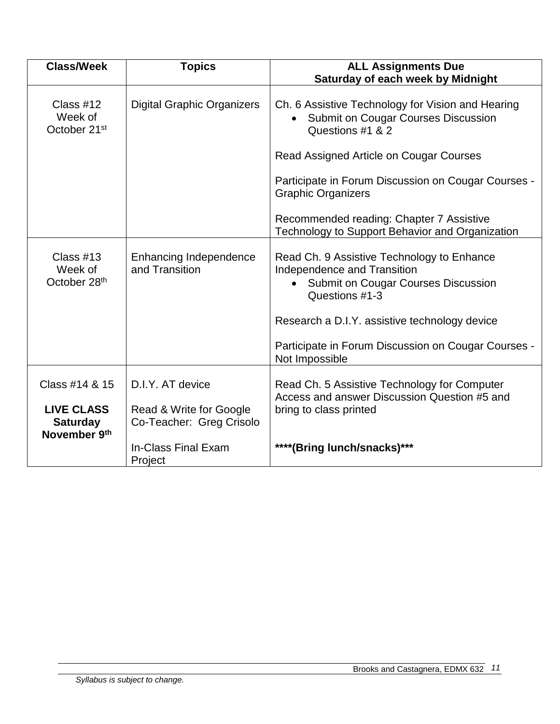| <b>Class/Week</b>                                    | <b>Topics</b>                                       | <b>ALL Assignments Due</b><br>Saturday of each week by Midnight                                                                                                |
|------------------------------------------------------|-----------------------------------------------------|----------------------------------------------------------------------------------------------------------------------------------------------------------------|
| Class $#12$<br>Week of<br>October 21 <sup>st</sup>   | <b>Digital Graphic Organizers</b>                   | Ch. 6 Assistive Technology for Vision and Hearing<br><b>Submit on Cougar Courses Discussion</b><br>Questions #1 & 2<br>Read Assigned Article on Cougar Courses |
|                                                      |                                                     | Participate in Forum Discussion on Cougar Courses -<br><b>Graphic Organizers</b>                                                                               |
|                                                      |                                                     | Recommended reading: Chapter 7 Assistive<br>Technology to Support Behavior and Organization                                                                    |
| Class $#13$<br>Week of<br>October 28th               | <b>Enhancing Independence</b><br>and Transition     | Read Ch. 9 Assistive Technology to Enhance<br>Independence and Transition<br><b>Submit on Cougar Courses Discussion</b><br>$\bullet$<br>Questions #1-3         |
|                                                      |                                                     | Research a D.I.Y. assistive technology device                                                                                                                  |
|                                                      |                                                     | Participate in Forum Discussion on Cougar Courses -<br>Not Impossible                                                                                          |
| Class #14 & 15                                       | D.I.Y. AT device                                    | Read Ch. 5 Assistive Technology for Computer<br>Access and answer Discussion Question #5 and                                                                   |
| <b>LIVE CLASS</b><br><b>Saturday</b><br>November 9th | Read & Write for Google<br>Co-Teacher: Greg Crisolo | bring to class printed                                                                                                                                         |
|                                                      | In-Class Final Exam<br>Project                      | ****(Bring lunch/snacks)***                                                                                                                                    |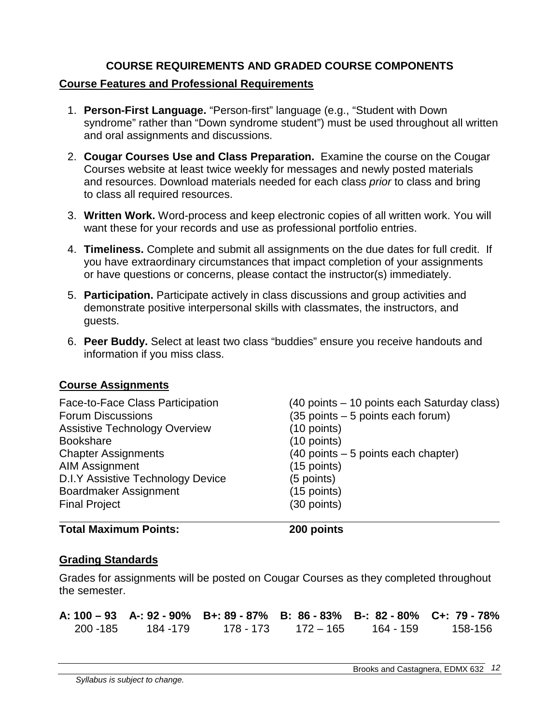#### **COURSE REQUIREMENTS AND GRADED COURSE COMPONENTS**

#### **Course Features and Professional Requirements**

- 1. **Person-First Language.** "Person-first" language (e.g., "Student with Down syndrome" rather than "Down syndrome student") must be used throughout all written and oral assignments and discussions.
- 2. **Cougar Courses Use and Class Preparation.** Examine the course on the Cougar Courses website at least twice weekly for messages and newly posted materials and resources. Download materials needed for each class *prior* to class and bring to class all required resources.
- 3. **Written Work.** Word-process and keep electronic copies of all written work. You will want these for your records and use as professional portfolio entries.
- 4. **Timeliness.** Complete and submit all assignments on the due dates for full credit. If you have extraordinary circumstances that impact completion of your assignments or have questions or concerns, please contact the instructor(s) immediately.
- 5. **Participation.** Participate actively in class discussions and group activities and demonstrate positive interpersonal skills with classmates, the instructors, and guests.
- 6. **Peer Buddy.** Select at least two class "buddies" ensure you receive handouts and information if you miss class.

#### **Course Assignments**

| Face-to-Face Class Participation     | (40 points – 10 points each Saturday class) |
|--------------------------------------|---------------------------------------------|
| <b>Forum Discussions</b>             | $(35$ points $-5$ points each forum)        |
| <b>Assistive Technology Overview</b> | $(10$ points)                               |
| <b>Bookshare</b>                     | (10 points)                                 |
| <b>Chapter Assignments</b>           | $(40$ points $-5$ points each chapter)      |
| <b>AIM Assignment</b>                | $(15$ points)                               |
| D.I.Y Assistive Technology Device    | (5 points)                                  |
| Boardmaker Assignment                | $(15$ points)                               |
| <b>Final Project</b>                 | (30 points)                                 |
|                                      |                                             |

#### **Total Maximum Points: 200 points**

#### **Grading Standards**

Grades for assignments will be posted on Cougar Courses as they completed throughout the semester.

|          |          | A: 100 - 93 A-: 92 - 90% B+: 89 - 87% B: 86 - 83% B-: 82 - 80% C+: 79 - 78% |           |           |         |
|----------|----------|-----------------------------------------------------------------------------|-----------|-----------|---------|
| 200 -185 | 184 -179 | 178 - 173                                                                   | 172 – 165 | 164 - 159 | 158-156 |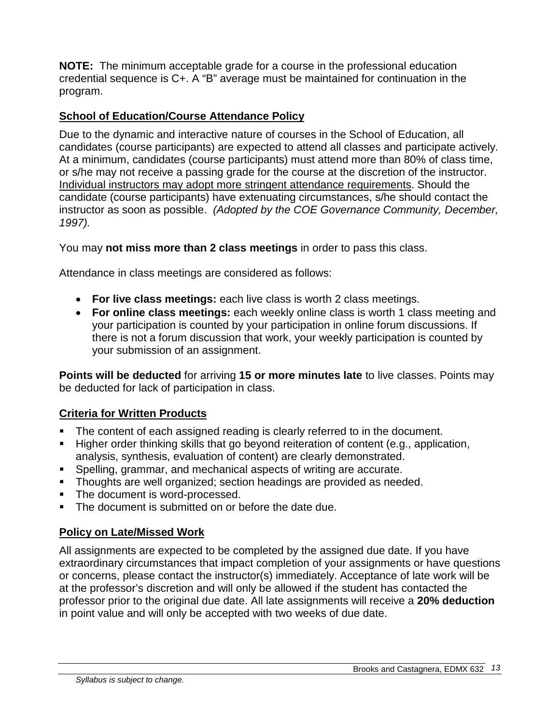**NOTE:** The minimum acceptable grade for a course in the professional education credential sequence is C+. A "B" average must be maintained for continuation in the program.

# **School of Education/Course Attendance Policy**

Due to the dynamic and interactive nature of courses in the School of Education, all candidates (course participants) are expected to attend all classes and participate actively. At a minimum, candidates (course participants) must attend more than 80% of class time, or s/he may not receive a passing grade for the course at the discretion of the instructor. Individual instructors may adopt more stringent attendance requirements. Should the candidate (course participants) have extenuating circumstances, s/he should contact the instructor as soon as possible. *(Adopted by the COE Governance Community, December, 1997).*

You may **not miss more than 2 class meetings** in order to pass this class.

Attendance in class meetings are considered as follows:

- **For live class meetings:** each live class is worth 2 class meetings.
- **For online class meetings:** each weekly online class is worth 1 class meeting and your participation is counted by your participation in online forum discussions. If there is not a forum discussion that work, your weekly participation is counted by your submission of an assignment.

**Points will be deducted** for arriving **15 or more minutes late** to live classes. Points may be deducted for lack of participation in class.

### **Criteria for Written Products**

- The content of each assigned reading is clearly referred to in the document.
- Higher order thinking skills that go beyond reiteration of content (e.g., application, analysis, synthesis, evaluation of content) are clearly demonstrated.
- Spelling, grammar, and mechanical aspects of writing are accurate.
- **Thoughts are well organized; section headings are provided as needed.**
- **The document is word-processed.**
- The document is submitted on or before the date due.

### **Policy on Late/Missed Work**

All assignments are expected to be completed by the assigned due date. If you have extraordinary circumstances that impact completion of your assignments or have questions or concerns, please contact the instructor(s) immediately. Acceptance of late work will be at the professor's discretion and will only be allowed if the student has contacted the professor prior to the original due date. All late assignments will receive a **20% deduction** in point value and will only be accepted with two weeks of due date.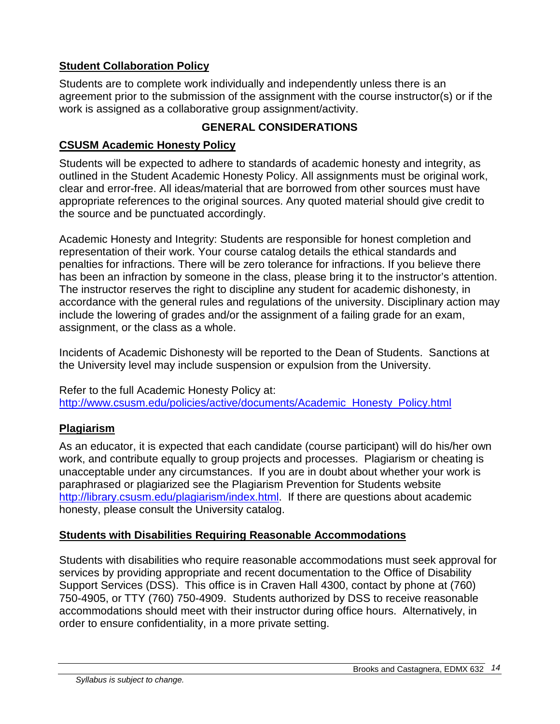# **Student Collaboration Policy**

Students are to complete work individually and independently unless there is an agreement prior to the submission of the assignment with the course instructor(s) or if the work is assigned as a collaborative group assignment/activity.

### **GENERAL CONSIDERATIONS**

### **CSUSM Academic Honesty Policy**

Students will be expected to adhere to standards of academic honesty and integrity, as outlined in the Student Academic Honesty Policy. All assignments must be original work, clear and error-free. All ideas/material that are borrowed from other sources must have appropriate references to the original sources. Any quoted material should give credit to the source and be punctuated accordingly.

Academic Honesty and Integrity: Students are responsible for honest completion and representation of their work. Your course catalog details the ethical standards and penalties for infractions. There will be zero tolerance for infractions. If you believe there has been an infraction by someone in the class, please bring it to the instructor's attention. The instructor reserves the right to discipline any student for academic dishonesty, in accordance with the general rules and regulations of the university. Disciplinary action may include the lowering of grades and/or the assignment of a failing grade for an exam, assignment, or the class as a whole.

Incidents of Academic Dishonesty will be reported to the Dean of Students. Sanctions at the University level may include suspension or expulsion from the University.

Refer to the full Academic Honesty Policy at: [http://www.csusm.edu/policies/active/documents/Academic\\_Honesty\\_Policy.html](http://www.csusm.edu/policies/active/documents/Academic_Honesty_Policy.html)

# **Plagiarism**

As an educator, it is expected that each candidate (course participant) will do his/her own work, and contribute equally to group projects and processes. Plagiarism or cheating is unacceptable under any circumstances. If you are in doubt about whether your work is paraphrased or plagiarized see the Plagiarism Prevention for Students website [http://library.csusm.edu/plagiarism/index.html.](http://library.csusm.edu/plagiarism/index.html) If there are questions about academic honesty, please consult the University catalog.

### **Students with Disabilities Requiring Reasonable Accommodations**

Students with disabilities who require reasonable accommodations must seek approval for services by providing appropriate and recent documentation to the Office of Disability Support Services (DSS). This office is in Craven Hall 4300, contact by phone at (760) 750-4905, or TTY (760) 750-4909. Students authorized by DSS to receive reasonable accommodations should meet with their instructor during office hours. Alternatively, in order to ensure confidentiality, in a more private setting.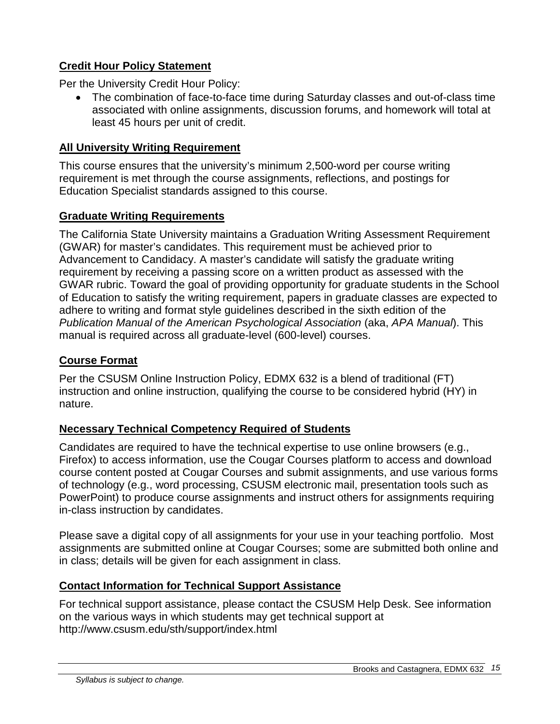### **Credit Hour Policy Statement**

Per the University Credit Hour Policy:

• The combination of face-to-face time during Saturday classes and out-of-class time associated with online assignments, discussion forums, and homework will total at least 45 hours per unit of credit.

#### **All University Writing Requirement**

This course ensures that the university's minimum 2,500-word per course writing requirement is met through the course assignments, reflections, and postings for Education Specialist standards assigned to this course.

#### **Graduate Writing Requirements**

The California State University maintains a Graduation Writing Assessment Requirement (GWAR) for master's candidates. This requirement must be achieved prior to Advancement to Candidacy. A master's candidate will satisfy the graduate writing requirement by receiving a passing score on a written product as assessed with the GWAR rubric. Toward the goal of providing opportunity for graduate students in the School of Education to satisfy the writing requirement, papers in graduate classes are expected to adhere to writing and format style guidelines described in the sixth edition of the *Publication Manual of the American Psychological Association* (aka, *APA Manual*). This manual is required across all graduate-level (600-level) courses.

#### **Course Format**

Per the CSUSM Online Instruction Policy, EDMX 632 is a blend of traditional (FT) instruction and online instruction, qualifying the course to be considered hybrid (HY) in nature.

### **Necessary Technical Competency Required of Students**

Candidates are required to have the technical expertise to use online browsers (e.g., Firefox) to access information, use the Cougar Courses platform to access and download course content posted at Cougar Courses and submit assignments, and use various forms of technology (e.g., word processing, CSUSM electronic mail, presentation tools such as PowerPoint) to produce course assignments and instruct others for assignments requiring in-class instruction by candidates.

Please save a digital copy of all assignments for your use in your teaching portfolio. Most assignments are submitted online at Cougar Courses; some are submitted both online and in class; details will be given for each assignment in class.

### **Contact Information for Technical Support Assistance**

For technical support assistance, please contact the CSUSM Help Desk. See information on the various ways in which students may get technical support at http://www.csusm.edu/sth/support/index.html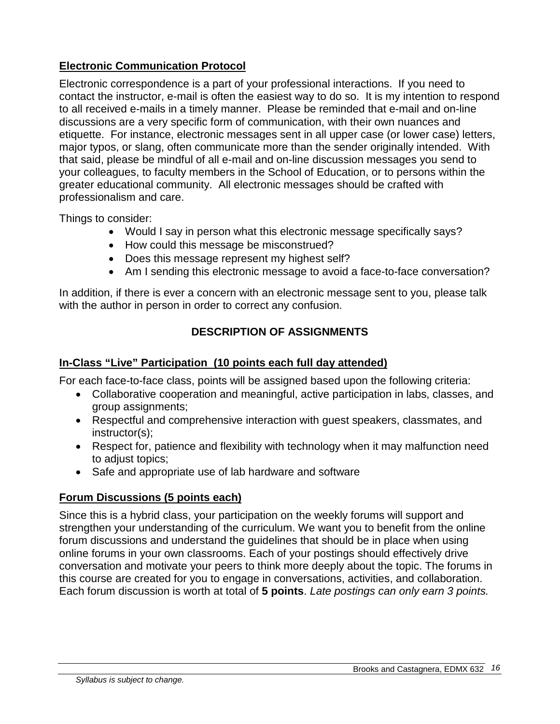### **Electronic Communication Protocol**

Electronic correspondence is a part of your professional interactions. If you need to contact the instructor, e-mail is often the easiest way to do so. It is my intention to respond to all received e-mails in a timely manner. Please be reminded that e-mail and on-line discussions are a very specific form of communication, with their own nuances and etiquette. For instance, electronic messages sent in all upper case (or lower case) letters, major typos, or slang, often communicate more than the sender originally intended. With that said, please be mindful of all e-mail and on-line discussion messages you send to your colleagues, to faculty members in the School of Education, or to persons within the greater educational community. All electronic messages should be crafted with professionalism and care.

Things to consider:

- Would I say in person what this electronic message specifically says?
- How could this message be misconstrued?
- Does this message represent my highest self?
- Am I sending this electronic message to avoid a face-to-face conversation?

In addition, if there is ever a concern with an electronic message sent to you, please talk with the author in person in order to correct any confusion.

### **DESCRIPTION OF ASSIGNMENTS**

#### **In-Class "Live" Participation (10 points each full day attended)**

For each face-to-face class, points will be assigned based upon the following criteria:

- Collaborative cooperation and meaningful, active participation in labs, classes, and group assignments;
- Respectful and comprehensive interaction with guest speakers, classmates, and instructor(s);
- Respect for, patience and flexibility with technology when it may malfunction need to adjust topics;
- Safe and appropriate use of lab hardware and software

### **Forum Discussions (5 points each)**

Since this is a hybrid class, your participation on the weekly forums will support and strengthen your understanding of the curriculum. We want you to benefit from the online forum discussions and understand the guidelines that should be in place when using online forums in your own classrooms. Each of your postings should effectively drive conversation and motivate your peers to think more deeply about the topic. The forums in this course are created for you to engage in conversations, activities, and collaboration. Each forum discussion is worth at total of **5 points**. *Late postings can only earn 3 points.*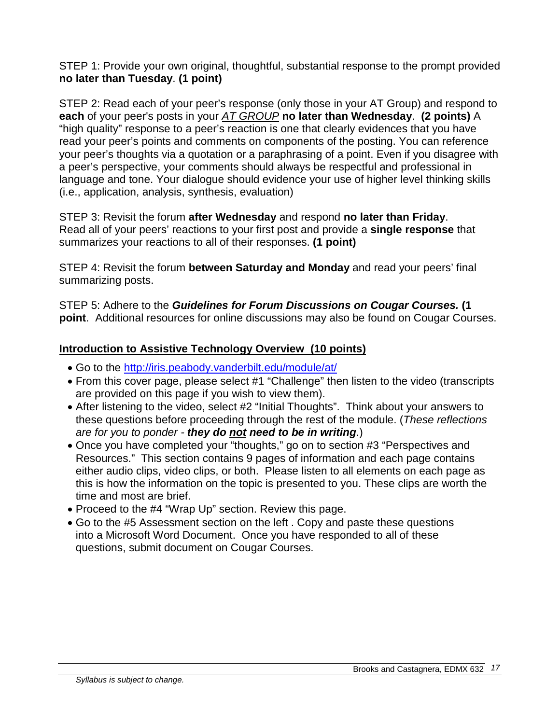STEP 1: Provide your own original, thoughtful, substantial response to the prompt provided **no later than Tuesday**. **(1 point)**

STEP 2: Read each of your peer's response (only those in your AT Group) and respond to **each** of your peer's posts in your *AT GROUP* **no later than Wednesday**. **(2 points)** A "high quality" response to a peer's reaction is one that clearly evidences that you have read your peer's points and comments on components of the posting. You can reference your peer's thoughts via a quotation or a paraphrasing of a point. Even if you disagree with a peer's perspective, your comments should always be respectful and professional in language and tone. Your dialogue should evidence your use of higher level thinking skills (i.e., application, analysis, synthesis, evaluation)

STEP 3: Revisit the forum **after Wednesday** and respond **no later than Friday**. Read all of your peers' reactions to your first post and provide a **single response** that summarizes your reactions to all of their responses. **(1 point)**

STEP 4: Revisit the forum **between Saturday and Monday** and read your peers' final summarizing posts.

STEP 5: Adhere to the *Guidelines for Forum Discussions on Cougar Courses.* **(1 point**. Additional resources for online discussions may also be found on Cougar Courses.

### **Introduction to Assistive Technology Overview (10 points)**

- Go to the<http://iris.peabody.vanderbilt.edu/module/at/>
- From this cover page, please select #1 "Challenge" then listen to the video (transcripts are provided on this page if you wish to view them).
- After listening to the video, select #2 "Initial Thoughts". Think about your answers to these questions before proceeding through the rest of the module. (*These reflections are for you to ponder - they do not need to be in writing*.)
- Once you have completed your "thoughts," go on to section #3 "Perspectives and Resources." This section contains 9 pages of information and each page contains either audio clips, video clips, or both. Please listen to all elements on each page as this is how the information on the topic is presented to you. These clips are worth the time and most are brief.
- Proceed to the #4 "Wrap Up" section. Review this page.
- Go to the #5 Assessment section on the left . Copy and paste these questions into a Microsoft Word Document. Once you have responded to all of these questions, submit document on Cougar Courses.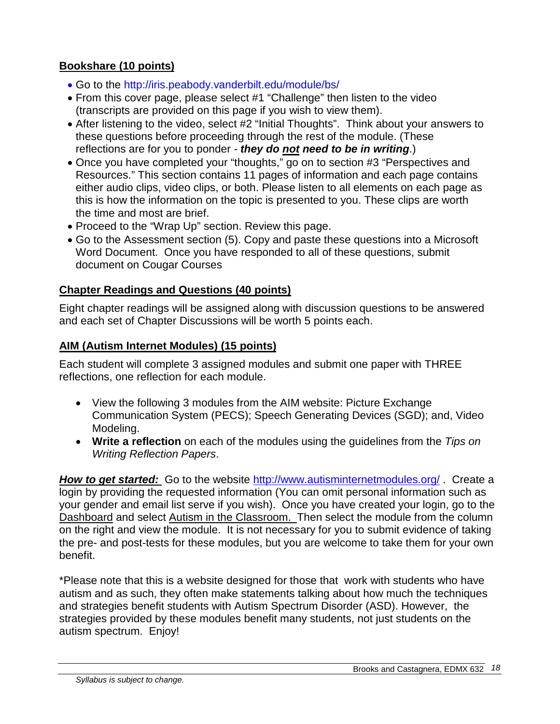### **Bookshare (10 points)**

- Go to the http://iris.peabody.vanderbilt.edu/module/bs/
- From this cover page, please select #1 "Challenge" then listen to the video (transcripts are provided on this page if you wish to view them).
- After listening to the video, select #2 "Initial Thoughts". Think about your answers to these questions before proceeding through the rest of the module. (These reflections are for you to ponder *- they do not need to be in writing*.)
- Once you have completed your "thoughts," go on to section #3 "Perspectives and Resources." This section contains 11 pages of information and each page contains either audio clips, video clips, or both. Please listen to all elements on each page as this is how the information on the topic is presented to you. These clips are worth the time and most are brief.
- Proceed to the "Wrap Up" section. Review this page.
- Go to the Assessment section (5). Copy and paste these questions into a Microsoft Word Document. Once you have responded to all of these questions, submit document on Cougar Courses

#### **Chapter Readings and Questions (40 points)**

Eight chapter readings will be assigned along with discussion questions to be answered and each set of Chapter Discussions will be worth 5 points each.

#### **AIM (Autism Internet Modules) (15 points)**

Each student will complete 3 assigned modules and submit one paper with THREE reflections, one reflection for each module.

- View the following 3 modules from the AIM website: Picture Exchange Communication System (PECS); Speech Generating Devices (SGD); and, Video Modeling.
- **Write a reflection** on each of the modules using the guidelines from the *Tips on Writing Reflection Papers*.

*How to get started:* Go to the website<http://www.autisminternetmodules.org/> . Create a login by providing the requested information (You can omit personal information such as your gender and email list serve if you wish). Once you have created your login, go to the Dashboard and select Autism in the Classroom. Then select the module from the column on the right and view the module. It is not necessary for you to submit evidence of taking the pre- and post-tests for these modules, but you are welcome to take them for your own benefit.

\*Please note that this is a website designed for those that work with students who have autism and as such, they often make statements talking about how much the techniques and strategies benefit students with Autism Spectrum Disorder (ASD). However, the strategies provided by these modules benefit many students, not just students on the autism spectrum. Enjoy!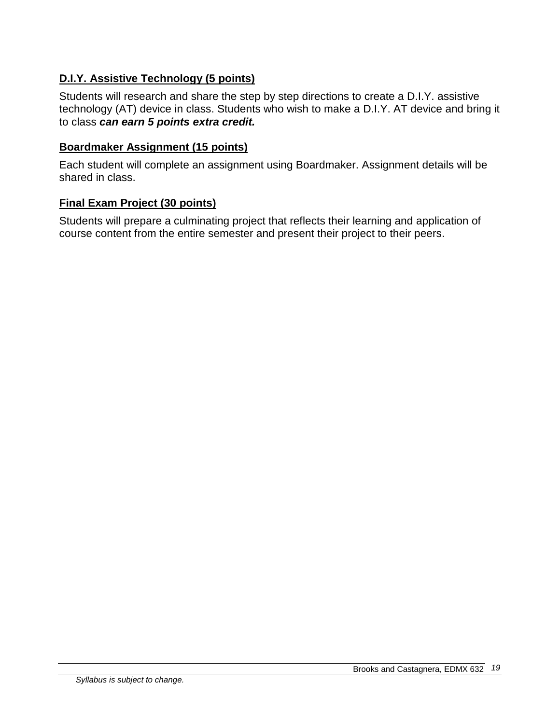# **D.I.Y. Assistive Technology (5 points)**

Students will research and share the step by step directions to create a D.I.Y. assistive technology (AT) device in class. Students who wish to make a D.I.Y. AT device and bring it to class *can earn 5 points extra credit.* 

#### **Boardmaker Assignment (15 points)**

Each student will complete an assignment using Boardmaker. Assignment details will be shared in class.

#### **Final Exam Project (30 points)**

Students will prepare a culminating project that reflects their learning and application of course content from the entire semester and present their project to their peers.